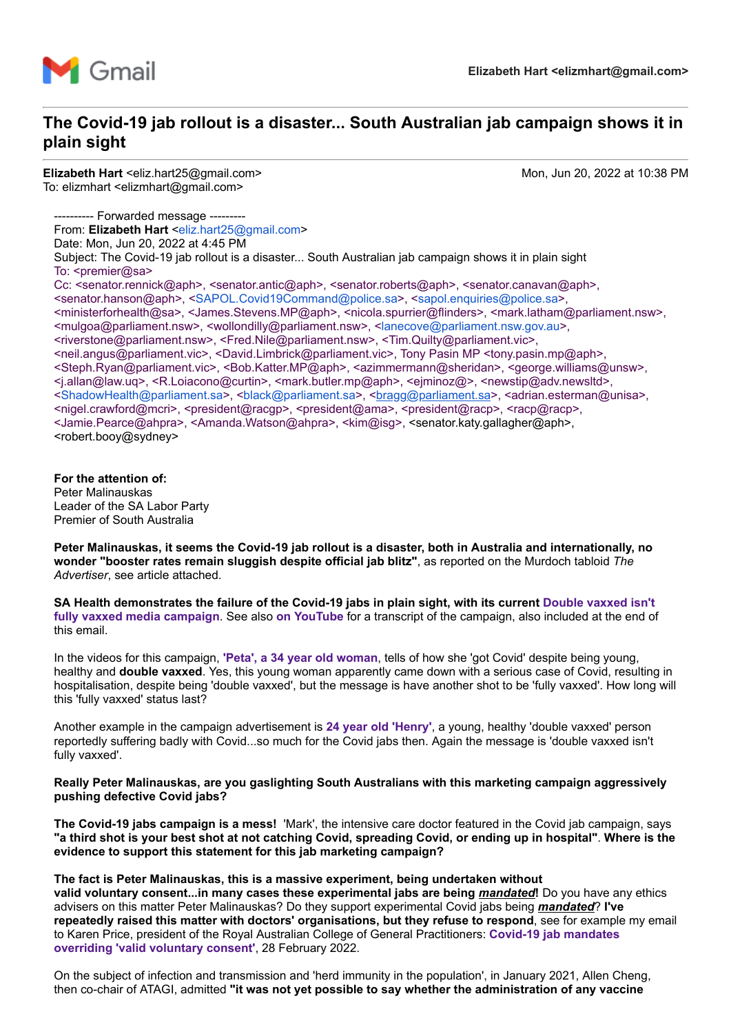

### **The Covid-19 jab rollout is a disaster... South Australian jab campaign shows it in plain sight**

**Elizabeth Hart** <eliz.hart25@gmail.com> Mon, Jun 20, 2022 at 10:38 PM To: elizmhart <elizmhart@gmail.com>

-- Forwarded message ------From: **Elizabeth Hart** [<eliz.hart25@gmail.com>](mailto:eliz.hart25@gmail.com) Date: Mon, Jun 20, 2022 at 4:45 PM Subject: The Covid-19 jab rollout is a disaster... South Australian jab campaign shows it in plain sight To:  $\epsilon$ premier@sa> Cc: <senator.rennick@aph>, <senator.antic@aph>, <senator.roberts@aph>, <senator.canavan@aph>, <senator.hanson@aph>, <[SAPOL.Covid19Command@police.sa>](mailto:SAPOL.Covid19Command@police.sa), [<sapol.enquiries@police.sa](mailto:sapol.enquiries@police.sa)>, <ministerforhealth@sa>, <James.Stevens.MP@aph>, <nicola.spurrier@flinders>, <mark.latham@parliament.nsw>, <mulgoa@parliament.nsw>, <wollondilly@parliament.nsw>, <[lanecove@parliament.nsw.gov.au](mailto:lanecove@parliament.nsw.gov.au)>, <riverstone@parliament.nsw>, <Fred.Nile@parliament.nsw>, <Tim.Quilty@parliament.vic>, <neil.angus@parliament.vic>, <David.Limbrick@parliament.vic>, Tony Pasin MP <tony.pasin.mp@aph>, <Steph.Ryan@parliament.vic>, <Bob.Katter.MP@aph>, <azimmermann@sheridan>, <george.williams@unsw>, <j.allan@law.uq>, <R.Loiacono@curtin>, <mark.butler.mp@aph>, <ejminoz@>, <newstip@adv.newsltd>, <[ShadowHealth@parliament.sa](mailto:ShadowHealth@parliament.sa)>, <[black@parliament.sa](mailto:black@parliament.sa)>, <[bragg@parliament.sa>](mailto:bragg@parliament.sa), <adrian.esterman@unisa>, <nigel.crawford@mcri>, <president@racgp>, <president@ama>, <president@racp>, <racp@racp>, <Jamie.Pearce@ahpra>, <Amanda.Watson@ahpra>, <kim@isg>, <senator.katy.gallagher@aph>, <robert.booy@sydney>

**For the attention of:** Peter Malinauskas Leader of the SA Labor Party Premier of South Australia

**Peter Malinauskas, it seems the Covid-19 jab rollout is a disaster, both in Australia and internationally, no wonder "booster rates remain sluggish despite official jab blitz"**, as reported on the Murdoch tabloid *The Advertiser*, see article attached.

**[SA Health demonstrates the failure of the Covid-19 jabs in plain sight, with its current Double vaxxed isn't](https://www.sahealth.sa.gov.au/wps/wcm/connect/public+content/sa+health+internet/conditions/infectious+diseases/covid-19/vaccine/boosters/boosters) fully vaxxed media campaign**. See also **[on YouTube](https://www.youtube.com/watch?v=eXG_oQUm0o8&list=PLMo7gORxrRhUqOBTxLVhjkaCjhZVmoHAi)** for a transcript of the campaign, also included at the end of this email.

In the videos for this campaign, **['Peta', a 34 year old woman](https://www.youtube.com/watch?v=kLXTPtwfQTQ&list=PLMo7gORxrRhUqOBTxLVhjkaCjhZVmoHAi&index=2)**, tells of how she 'got Covid' despite being young, healthy and **double vaxxed**. Yes, this young woman apparently came down with a serious case of Covid, resulting in hospitalisation, despite being 'double vaxxed', but the message is have another shot to be 'fully vaxxed'. How long will this 'fully vaxxed' status last?

Another example in the campaign advertisement is **[24 year old 'Henry'](https://www.youtube.com/watch?v=QLyLVigGCWg&list=PLMo7gORxrRhUqOBTxLVhjkaCjhZVmoHAi&index=3)**, a young, healthy 'double vaxxed' person reportedly suffering badly with Covid...so much for the Covid jabs then. Again the message is 'double vaxxed isn't fully vaxxed'.

#### **Really Peter Malinauskas, are you gaslighting South Australians with this marketing campaign aggressively pushing defective Covid jabs?**

**The Covid-19 jabs campaign is a mess!** 'Mark', the intensive care doctor featured in the Covid jab campaign, says **"a third shot is your best shot at not catching Covid, spreading Covid, or ending up in hospital"**. **Where is the evidence to support this statement for this jab marketing campaign?**

#### **The fact is Peter Malinauskas, this is a massive experiment, being undertaken without**

**valid voluntary consent...in many cases these experimental jabs are being** *mandated***!** Do you have any ethics advisers on this matter Peter Malinauskas? Do they support experimental Covid jabs being *mandated*? **I've repeatedly raised this matter with doctors' organisations, but they refuse to respond**, see for example my email [to Karen Price, president of the Royal Australian College of General Practitioners:](https://vaccinationispolitical.files.wordpress.com/2022/03/covid-19-jab-mandates-overriding-valid-voluntary-consent-email-to-the-president-of-the-royal-australian-college-of-general-practitioners.pdf) **Covid-19 jab mandates overriding 'valid voluntary consent'**, 28 February 2022.

On the subject of infection and transmission and 'herd immunity in the population', in January 2021, Allen Cheng, then co-chair of ATAGI, admitted **"it was not yet possible to say whether the administration of any vaccine**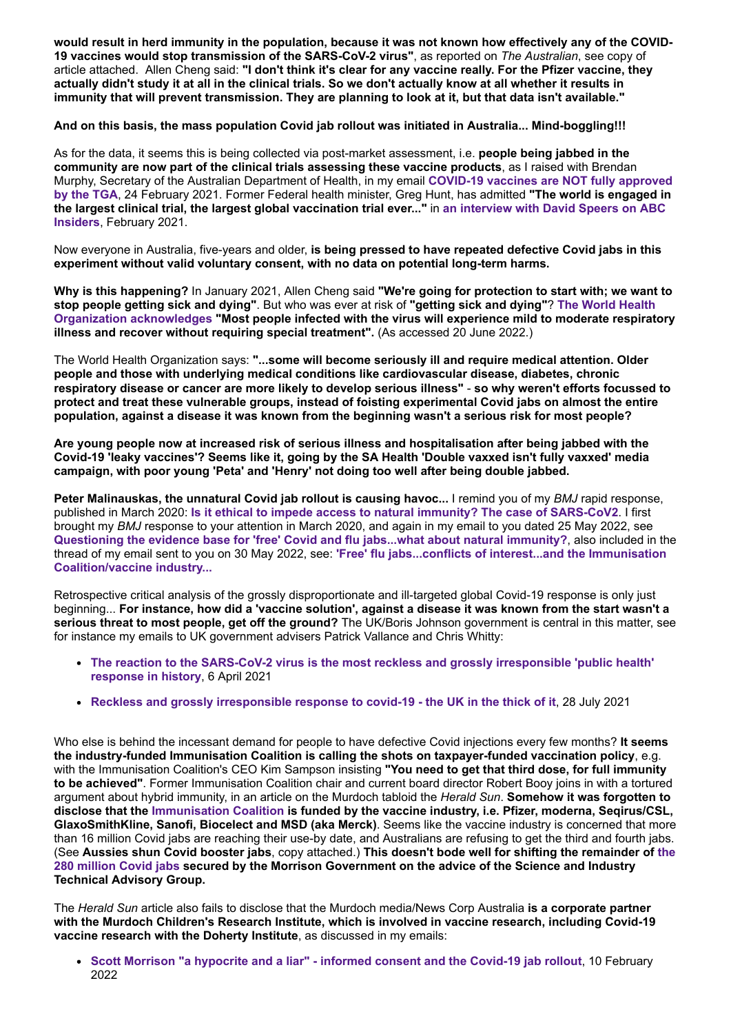**would result in herd immunity in the population, because it was not known how effectively any of the COVID-19 vaccines would stop transmission of the SARS-CoV-2 virus"**, as reported on *The Australian*, see copy of article attached. Allen Cheng said: **"I don't think it's clear for any vaccine really. For the Pfizer vaccine, they actually didn't study it at all in the clinical trials. So we don't actually know at all whether it results in immunity that will prevent transmission. They are planning to look at it, but that data isn't available."**

**And on this basis, the mass population Covid jab rollout was initiated in Australia... Mind-boggling!!!**

As for the data, it seems this is being collected via post-market assessment, i.e. **people being jabbed in the community are now part of the clinical trials assessing these vaccine products**, as I raised with Brendan Murphy, Secretary of the Australian Department of Health, in my email **COVID-19 vaccines are NOT fully approved by the TGA**[, 24 February 2021. Former Federal health minister, Greg Hunt, has admitted](https://vaccinationispolitical.files.wordpress.com/2021/02/covid-19-vaccines-are-not-fully-approved-by-the-tga.pdf) **"The world is engaged in [the largest clinical trial, the largest global vaccination trial ever..."](https://www.health.gov.au/ministers/the-hon-greg-hunt-mp/media/interview-with-david-speers-on-abc-insiders-on-the-covid-19-vaccine-rollout)** in **an interview with David Speers on ABC Insiders**, February 2021.

Now everyone in Australia, five-years and older, **is being pressed to have repeated defective Covid jabs in this experiment without valid voluntary consent, with no data on potential long-term harms.**

**Why is this happening?** In January 2021, Allen Cheng said **"We're going for protection to start with; we want to stop people getting sick and dying"**. But who was ever at risk of **"getting sick and dying"**? **The World Health Organization acknowledges ["Most people infected with the virus will experience mild to moderate respirat](https://www.who.int/health-topics/coronavirus#tab=tab_1)ory illness and recover without requiring special treatment".** (As accessed 20 June 2022.)

The World Health Organization says: **"...some will become seriously ill and require medical attention. Older people and those with underlying medical conditions like cardiovascular disease, diabetes, chronic respiratory disease or cancer are more likely to develop serious illness"** - **so why weren't efforts focussed to protect and treat these vulnerable groups, instead of foisting experimental Covid jabs on almost the entire population, against a disease it was known from the beginning wasn't a serious risk for most people?**

**Are young people now at increased risk of serious illness and hospitalisation after being jabbed with the Covid-19 'leaky vaccines'? Seems like it, going by the SA Health 'Double vaxxed isn't fully vaxxed' media campaign, with poor young 'Peta' and 'Henry' not doing too well after being double jabbed.**

**Peter Malinauskas, the unnatural Covid jab rollout is causing havoc...** I remind you of my *BMJ* rapid response, published in March 2020: **[Is it ethical to impede access to natural immunity? The case of SARS-CoV2](https://www.bmj.com/content/368/bmj.m1089/rr-6)**. I first brought my *BMJ* response to your attention in March 2020, and again in my email to you dated 25 May 2022, see **[Questioning the evidence base for 'free' Covid and flu jabs...what about natural immunity?](https://vaccinationispolitical.files.wordpress.com/2022/05/questioning-the-evidence-base-for-free-covid-and-flu-jabs...what-about-natural-immunity_-1.pdf)**, also included in the thread of my email sent to you on 30 May 2022, see: **['Free' flu jabs...conflicts of interest...and the Immunisation](https://vaccinationispolitical.files.wordpress.com/2022/05/free-flu-jabs...conflicts-of-interest...and-the-immunisation-coalition_vaccine-industry.pdf) Coalition/vaccine industry...**

Retrospective critical analysis of the grossly disproportionate and ill-targeted global Covid-19 response is only just beginning... **For instance, how did a 'vaccine solution', against a disease it was known from the start wasn't a serious threat to most people, get off the ground?** The UK/Boris Johnson government is central in this matter, see for instance my emails to UK government advisers Patrick Vallance and Chris Whitty:

- **[The reaction to the SARS-CoV-2 virus is the most reckless and grossly irresponsible 'public health'](https://vaccinationispolitical.files.wordpress.com/2021/04/sars-cov-2-virus-the-most-reckless-and-grossly-irresponsible-response.pdf) response in history**, 6 April 2021
- **[Reckless and grossly irresponsible response to covid-19 the UK in the thick of it](https://vaccinationispolitical.files.wordpress.com/2021/07/reckless-and-grossly-irresponsible-response-to-covid-19-the-uk-in-the-thick-of-it.pdf)**, 28 July 2021

Who else is behind the incessant demand for people to have defective Covid injections every few months? **It seems the industry-funded Immunisation Coalition is calling the shots on taxpayer-funded vaccination policy**, e.g. with the Immunisation Coalition's CEO Kim Sampson insisting **"You need to get that third dose, for full immunity to be achieved"**. Former Immunisation Coalition chair and current board director Robert Booy joins in with a tortured argument about hybrid immunity, in an article on the Murdoch tabloid the *Herald Sun*. **Somehow it was forgotten to disclose that the [Immunisation Coalition](https://www.immunisationcoalition.org.au/about-us/) is funded by the vaccine industry, i.e. Pfizer, moderna, Seqirus/CSL, GlaxoSmithKline, Sanofi, Biocelect and MSD (aka Merck)**. Seems like the vaccine industry is concerned that more than 16 million Covid jabs are reaching their use-by date, and Australians are refusing to get the third and fourth jabs. (See **Aussies shun Covid booster jabs**, copy attached.) **This doesn't bode well for shifting the remainder of the [280 million Covid jabs secured by the Morrison Government on the advice of the Science and Industry](https://www.sbs.com.au/news/article/federal-government-secures-extra-85-million-covid-19-pfizer-booster-shots-from-next-year/9td00xo0m) Technical Advisory Group.**

The *Herald Sun* article also fails to disclose that the Murdoch media/News Corp Australia **is a corporate partner with the Murdoch Children's Research Institute, which is involved in vaccine research, including Covid-19 vaccine research with the Doherty Institute**, as discussed in my emails:

**[Scott Morrison "a hypocrite and a liar" - informed consent and the Covid-19 jab rollout](https://vaccinationispolitical.files.wordpress.com/2022/02/scott-morrison-_a-hypocrite-and-a-liar_-informed-consent-and-the-covid-19-jab-rollout.pdf)**, 10 February 2022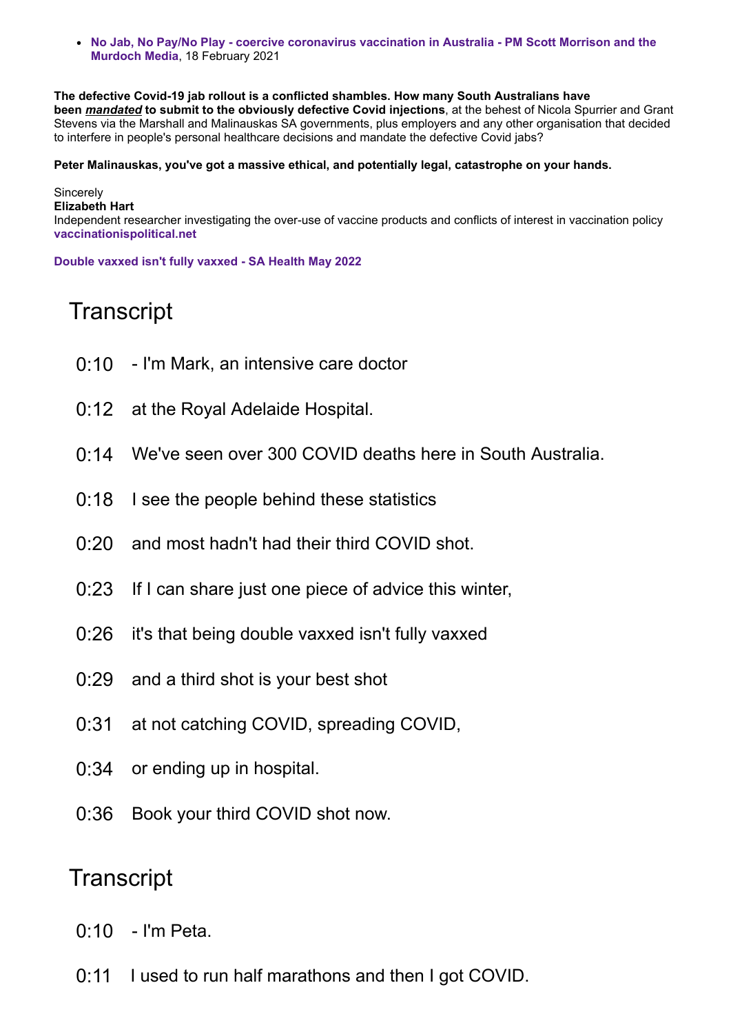**[No Jab, No Pay/No Play - coercive coronavirus vaccination in Australia - PM Scott Morrison and the](https://vaccinationispolitical.files.wordpress.com/2021/02/no-jab-no-pay-no-play-coercive-vaccination-in-australia.pdf) Murdoch Media**, 18 February 2021

**The defective Covid-19 jab rollout is a conflicted shambles. How many South Australians have been** *mandated* **to submit to the obviously defective Covid injections**, at the behest of Nicola Spurrier and Grant Stevens via the Marshall and Malinauskas SA governments, plus employers and any other organisation that decided to interfere in people's personal healthcare decisions and mandate the defective Covid jabs?

#### **Peter Malinauskas, you've got a massive ethical, and potentially legal, catastrophe on your hands.**

**Sincerely Elizabeth Hart** Independent researcher investigating the over-use of vaccine products and conflicts of interest in vaccination policy **[vaccinationispolitical.net](http://vaccinationispolitical.net/)**

**[Double vaxxed isn't fully vaxxed - SA Health May 2022](https://www.youtube.com/watch?v=eXG_oQUm0o8&list=PLMo7gORxrRhUqOBTxLVhjkaCjhZVmoHAi&index=1)**

## **Transcript**

- 0:10 I'm Mark, an intensive care doctor
- 0:12 at the Royal Adelaide Hospital.
- 0:14 We've seen over 300 COVID deaths here in South Australia.
- 0:18 I see the people behind these statistics
- 0:20 and most hadn't had their third COVID shot.
- 0:23 If I can share just one piece of advice this winter,
- 0:26 it's that being double vaxxed isn't fully vaxxed
- 0:29 and a third shot is your best shot
- 0:31 at not catching COVID, spreading COVID,
- 0:34 or ending up in hospital.
- 0:36 Book your third COVID shot now.

### **Transcript**

- 0:10 I'm Peta.
- 0:11 I used to run half marathons and then I got COVID.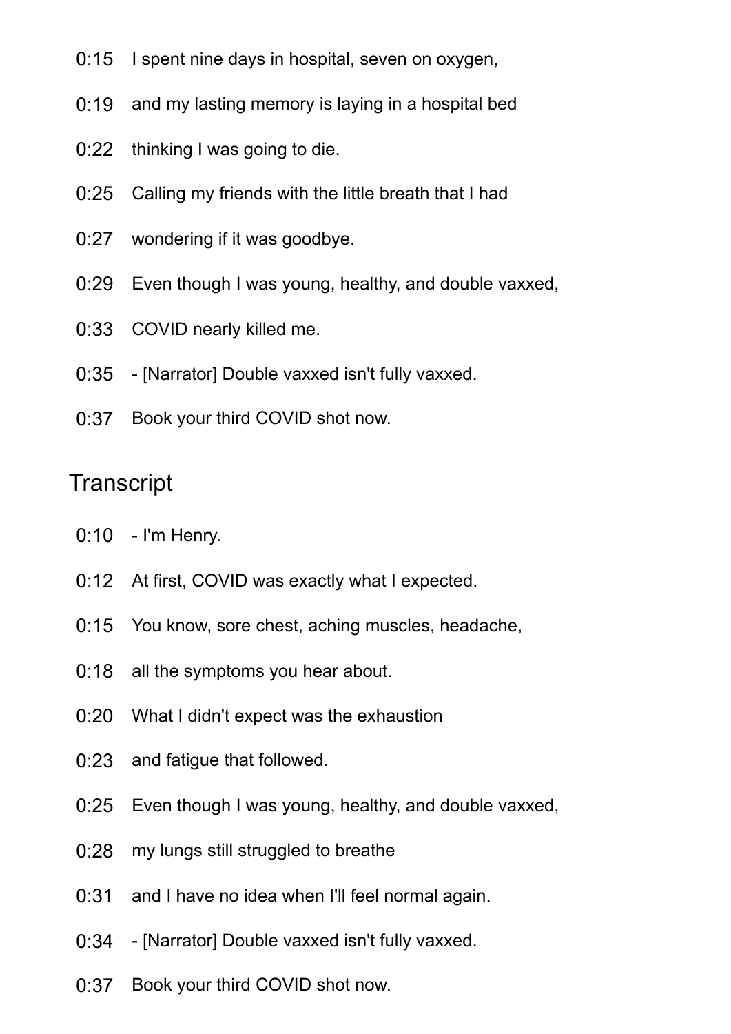- 0:15 I spent nine days in hospital, seven on oxygen,
- 0:19 and my lasting memory is laying in a hospital bed
- 0:22 thinking I was going to die.
- 0:25 Calling my friends with the little breath that I had
- 0:27 wondering if it was goodbye.
- 0:29 Even though I was young, healthy, and double vaxxed,
- 0:33 COVID nearly killed me.
- 0:35 [Narrator] Double vaxxed isn't fully vaxxed.
- 0:37 Book your third COVID shot now.

# **Transcript**

- 0:10 I'm Henry.
- 0:12 At first, COVID was exactly what I expected.
- 0:15 You know, sore chest, aching muscles, headache,
- 0:18 all the symptoms you hear about.
- 0:20 What I didn't expect was the exhaustion
- 0:23 and fatigue that followed.
- 0:25 Even though I was young, healthy, and double vaxxed,
- 0:28 my lungs still struggled to breathe
- 0:31 and I have no idea when I'll feel normal again.
- 0:34 [Narrator] Double vaxxed isn't fully vaxxed.
- 0:37 Book your third COVID shot now.